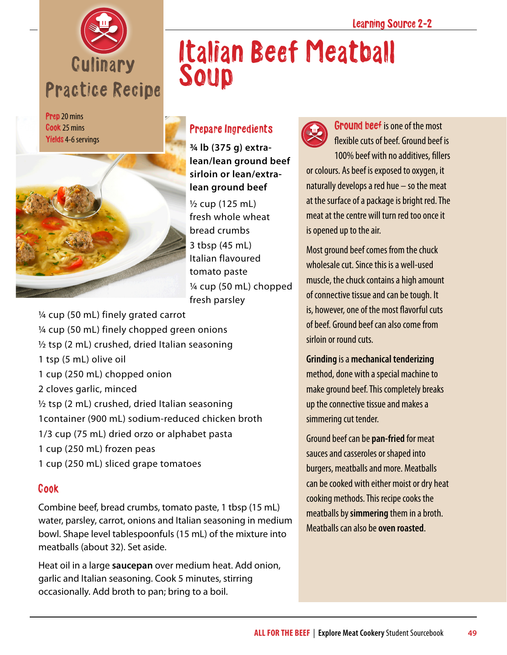

Prep 20 mins Cook 25 mins Yields 4-6 servings



## Italian Beef Meatball Soup

### Prepare Ingredients

**¾ lb (375 g) extralean/lean ground beef sirloin or lean/extralean ground beef**

½ cup (125 mL) fresh whole wheat bread crumbs 3 tbsp (45 mL) Italian flavoured tomato paste ¼ cup (50 mL) chopped fresh parsley

¼ cup (50 mL) finely grated carrot ¼ cup (50 mL) finely chopped green onions ½ tsp (2 mL) crushed, dried Italian seasoning 1 tsp (5 mL) olive oil 1 cup (250 mL) chopped onion 2 cloves garlic, minced  $\frac{1}{2}$  tsp (2 mL) crushed, dried Italian seasoning 1container (900 mL) sodium-reduced chicken broth 1/3 cup (75 mL) dried orzo or alphabet pasta 1 cup (250 mL) frozen peas 1 cup (250 mL) sliced grape tomatoes

### Cook

Combine beef, bread crumbs, tomato paste, 1 tbsp (15 mL) water, parsley, carrot, onions and Italian seasoning in medium bowl. Shape level tablespoonfuls (15 mL) of the mixture into meatballs (about 32). Set aside.

Heat oil in a large **saucepan** over medium heat. Add onion, garlic and Italian seasoning. Cook 5 minutes, stirring occasionally. Add broth to pan; bring to a boil.



Ground beef is one of the most flexible cuts of beef. Ground beef is 100% beef with no additives, fillers or colours. As beef is exposed to oxygen, it naturally develops a red hue – so the meat at the surface of a package is bright red. The meat at the centre will turn red too once it is opened up to the air.

Most ground beef comes from the chuck wholesale cut. Since this is a well-used muscle, the chuck contains a high amount of connective tissue and can be tough. It is, however, one of the most flavorful cuts of beef. Ground beef can also come from sirloin or round cuts.

**Grinding** is a **mechanical tenderizing** method, done with a special machine to make ground beef. This completely breaks up the connective tissue and makes a simmering cut tender.

Ground beef can be **pan-fried** for meat sauces and casseroles or shaped into burgers, meatballs and more. Meatballs can be cooked with either moist or dry heat cooking methods. This recipe cooks the meatballs by **simmering** them in a broth. Meatballs can also be **oven roasted**.